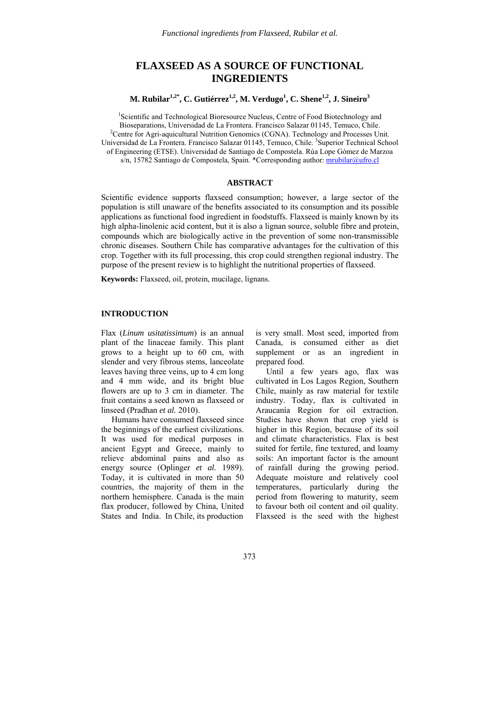# **FLAXSEED AS A SOURCE OF FUNCTIONAL INGREDIENTS**

M. Rubilar<sup>1,2\*</sup>, C. Gutiérrez<sup>1,2</sup>, M. Verdugo<sup>1</sup>, C. Shene<sup>1,2</sup>, J. Sineiro<sup>3</sup>

<sup>1</sup>Scientific and Technological Bioresource Nucleus, Centre of Food Biotechnology and Bioseparations, Universidad de La Frontera. Francisco Salazar 01145, Temuco, Chile. 2 <sup>2</sup> Centre for Agri-aquicultural Nutrition Genomics (CGNA). Technology and Processes Unit. Universidad de La Frontera. Francisco Salazar 01145, Temuco, Chile. <sup>3</sup>Superior Technical School of Engineering (ETSE). Universidad de Santiago de Compostela. Rúa Lope Gómez de Marzoa s/n, 15782 Santiago de Compostela, Spain. \*Corresponding author: mrubilar@ufro.cl

## **ABSTRACT**

Scientific evidence supports flaxseed consumption; however, a large sector of the population is still unaware of the benefits associated to its consumption and its possible applications as functional food ingredient in foodstuffs. Flaxseed is mainly known by its high alpha-linolenic acid content, but it is also a lignan source, soluble fibre and protein, compounds which are biologically active in the prevention of some non-transmissible chronic diseases. Southern Chile has comparative advantages for the cultivation of this crop. Together with its full processing, this crop could strengthen regional industry. The purpose of the present review is to highlight the nutritional properties of flaxseed.

**Keywords:** Flaxseed, oil, protein, mucilage, lignans.

### **INTRODUCTION**

Flax (*Linum usitatissimum*) is an annual plant of the linaceae family. This plant grows to a height up to 60 cm, with slender and very fibrous stems, lanceolate leaves having three veins, up to 4 cm long and 4 mm wide, and its bright blue flowers are up to 3 cm in diameter. The fruit contains a seed known as flaxseed or linseed (Pradhan *et al.* 2010).

 Humans have consumed flaxseed since the beginnings of the earliest civilizations. It was used for medical purposes in ancient Egypt and Greece, mainly to relieve abdominal pains and also as energy source (Oplinger *et al.* 1989). Today, it is cultivated in more than 50 countries, the majority of them in the northern hemisphere. Canada is the main flax producer, followed by China, United States and India. In Chile, its production

is very small. Most seed, imported from Canada, is consumed either as diet supplement or as an ingredient in prepared food.

 Until a few years ago, flax was cultivated in Los Lagos Region, Southern Chile, mainly as raw material for textile industry. Today, flax is cultivated in Araucanía Region for oil extraction. Studies have shown that crop yield is higher in this Region, because of its soil and climate characteristics. Flax is best suited for fertile, fine textured, and loamy soils: An important factor is the amount of rainfall during the growing period. Adequate moisture and relatively cool temperatures, particularly during the period from flowering to maturity, seem to favour both oil content and oil quality. Flaxseed is the seed with the highest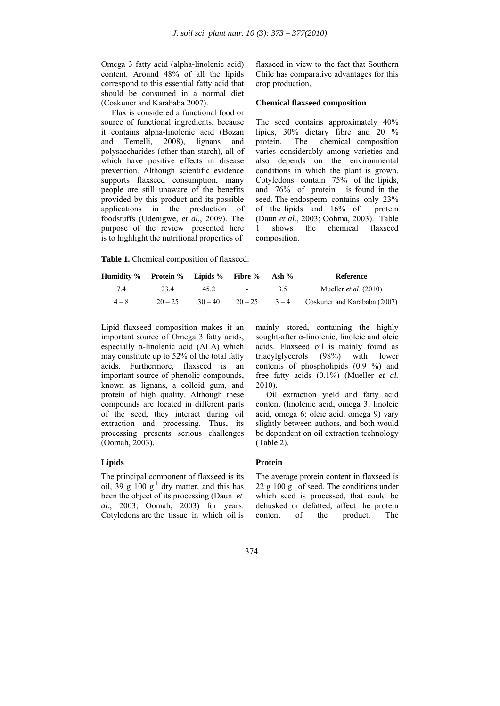Omega 3 fatty acid (alpha-linolenic acid) content. Around 48% of all the lipids correspond to this essential fatty acid that should be consumed in a normal diet (Coskuner and Karababa 2007).

 Flax is considered a functional food or source of functional ingredients, because it contains alpha-linolenic acid (Bozan and Temelli, 2008), lignans and polysaccharides (other than starch), all of which have positive effects in disease prevention. Although scientific evidence supports flaxseed consumption, many people are still unaware of the benefits provided by this product and its possible applications in the production of foodstuffs (Udenigwe, *et al.*, 2009). The purpose of the review presented here is to highlight the nutritional properties of

flaxseed in view to the fact that Southern Chile has comparative advantages for this crop production.

### **Chemical flaxseed composition**

The seed contains approximately 40% lipids, 30% dietary fibre and 20 % protein. The chemical composition varies considerably among varieties and also depends on the environmental conditions in which the plant is grown. Cotyledons contain 75% of the lipids, and 76% of protein is found in the seed. The endosperm contains only 23% of the lipids and 16% of protein (Daun *et al.*, 2003; Oohma, 2003). Table 1 shows the chemical flaxseed composition.

**Table 1.** Chemical composition of flaxseed.

| Humidity % Protein % Lipids % Fibre % |           |           |           | Ash % | Reference                          |
|---------------------------------------|-----------|-----------|-----------|-------|------------------------------------|
| 74                                    | 23.4      | 45 2.     | $\sim$    | 3.5   | Mueller <i>et al.</i> $(2010)$     |
| $4 - 8$                               | $20 - 25$ | $30 - 40$ | $20 - 25$ |       | $3-4$ Coskuner and Karababa (2007) |

Lipid flaxseed composition makes it an important source of Omega 3 fatty acids, especially  $\alpha$ -linolenic acid (ALA) which may constitute up to 52% of the total fatty acids. Furthermore, flaxseed is an important source of phenolic compounds, known as lignans, a colloid gum, and protein of high quality. Although these compounds are located in different parts of the seed, they interact during oil extraction and processing. Thus, its processing presents serious challenges (Oomah, 2003).

# **Lipids**

The principal component of flaxseed is its oil, 39 g  $100 \text{ g}^{-1}$  dry matter, and this has been the object of its processing (Daun *et al.*, 2003; Oomah, 2003) for years. Cotyledons are the tissue in which oil is mainly stored, containing the highly sought-after α-linolenic, linoleic and oleic acids. Flaxseed oil is mainly found as triacylglycerols (98%) with lower contents of phospholipids (0.9 %) and free fatty acids (0.1%) (Mueller *et al.* 2010).

 Oil extraction yield and fatty acid content (linolenic acid, omega 3; linoleic acid, omega 6; oleic acid, omega 9) vary slightly between authors, and both would be dependent on oil extraction technology (Table 2).

## **Protein**

The average protein content in flaxseed is 22 g 100  $g^{-1}$  of seed. The conditions under which seed is processed, that could be dehusked or defatted, affect the protein content of the product. The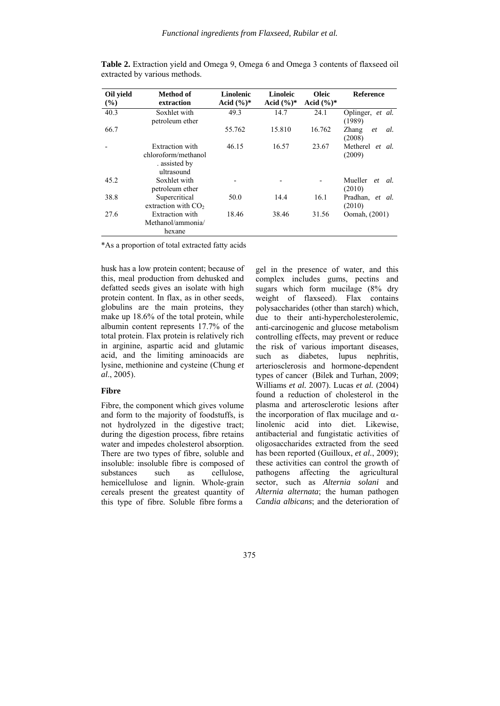| Oil yield<br>$($ %) | Method of<br>extraction                                               | Linolenic<br>Acid $(\%)^*$ | Linoleic<br>Acid $(\%)^*$ | <b>Oleic</b><br>Acid $(\%)^*$ | <b>Reference</b>             |
|---------------------|-----------------------------------------------------------------------|----------------------------|---------------------------|-------------------------------|------------------------------|
| 40.3                | Soxhlet with<br>petroleum ether                                       | 49.3                       | 14.7                      | 24.1                          | Oplinger, et al.<br>(1989)   |
| 66.7                |                                                                       | 55.762                     | 15.810                    | 16.762                        | Zhang<br>al.<br>et<br>(2008) |
|                     | Extraction with<br>chloroform/methanol<br>. assisted by<br>ultrasound | 46.15                      | 16.57                     | 23.67                         | Metherel et al.<br>(2009)    |
| 45.2                | Soxhlet with<br>petroleum ether                                       |                            |                           |                               | Mueller<br>et al.<br>(2010)  |
| 38.8                | Supercritical<br>extraction with $CO2$                                | 50.0                       | 14.4                      | 16.1                          | Pradhan, et al.<br>(2010)    |
| 27.6                | Extraction with<br>Methanol/ammonia/<br>hexane                        | 18.46                      | 38.46                     | 31.56                         | Oomah, (2001)                |

**Table 2.** Extraction yield and Omega 9, Omega 6 and Omega 3 contents of flaxseed oil extracted by various methods.

\*As a proportion of total extracted fatty acids

husk has a low protein content; because of this, meal production from dehusked and defatted seeds gives an isolate with high protein content. In flax, as in other seeds, globulins are the main proteins, they make up 18.6% of the total protein, while albumin content represents 17.7% of the total protein. Flax protein is relatively rich in arginine, aspartic acid and glutamic acid, and the limiting aminoacids are lysine, methionine and cysteine (Chung *et al*., 2005).

# **Fibre**

Fibre, the component which gives volume and form to the majority of foodstuffs, is not hydrolyzed in the digestive tract; during the digestion process, fibre retains water and impedes cholesterol absorption. There are two types of fibre, soluble and insoluble: insoluble fibre is composed of substances such as cellulose, hemicellulose and lignin. Whole-grain cereals present the greatest quantity of this type of fibre. Soluble fibre forms a

gel in the presence of water, and this complex includes gums, pectins and sugars which form mucilage (8% dry weight of flaxseed). Flax contains polysaccharides (other than starch) which, due to their anti-hypercholesterolemic, anti-carcinogenic and glucose metabolism controlling effects, may prevent or reduce the risk of various important diseases, such as diabetes, lupus nephritis, arteriosclerosis and hormone-dependent types of cancer (Bilek and Turhan, 2009; Williams *et al.* 2007). Lucas *et al.* (2004) found a reduction of cholesterol in the plasma and arterosclerotic lesions after the incorporation of flax mucilage and  $α$ linolenic acid into diet. Likewise, antibacterial and fungistatic activities of oligosaccharides extracted from the seed has been reported (Guilloux, *et al.*, 2009); these activities can control the growth of pathogens affecting the agricultural sector, such as *Alternia solani* and *Alternia alternata*; the human pathogen *Candia albicans*; and the deterioration of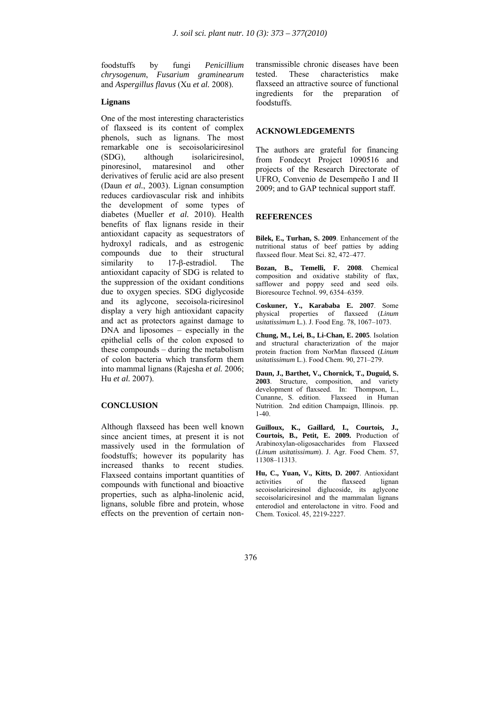foodstuffs by fungi *Penicillium chrysogenum*, *Fusarium graminearum* and *Aspergillus flavus* (Xu *et al.* 2008).

#### **Lignans**

One of the most interesting characteristics of flaxseed is its content of complex phenols, such as lignans. The most remarkable one is secoisolariciresinol (SDG), although isolariciresinol, pinoresinol, mataresinol and other derivatives of ferulic acid are also present (Daun *et al.*, 2003). Lignan consumption reduces cardiovascular risk and inhibits the development of some types of diabetes (Mueller *et al.* 2010). Health benefits of flax lignans reside in their antioxidant capacity as sequestrators of hydroxyl radicals, and as estrogenic compounds due to their structural similarity to 17-β-estradiol. The antioxidant capacity of SDG is related to the suppression of the oxidant conditions due to oxygen species. SDG diglycoside and its aglycone, secoisola-riciresinol display a very high antioxidant capacity and act as protectors against damage to DNA and liposomes – especially in the epithelial cells of the colon exposed to these compounds – during the metabolism of colon bacteria which transform them into mammal lignans (Rajesha *et al.* 2006; Hu *et al.* 2007).

#### **CONCLUSION**

Although flaxseed has been well known since ancient times, at present it is not massively used in the formulation of foodstuffs; however its popularity has increased thanks to recent studies. Flaxseed contains important quantities of compounds with functional and bioactive properties, such as alpha-linolenic acid, lignans, soluble fibre and protein, whose effects on the prevention of certain nontransmissible chronic diseases have been tested. These characteristics make flaxseed an attractive source of functional ingredients for the preparation of foodstuffs.

#### **ACKNOWLEDGEMENTS**

The authors are grateful for financing from Fondecyt Project 1090516 and projects of the Research Directorate of UFRO, Convenio de Desempeño I and II 2009; and to GAP technical support staff.

# **REFERENCES**

**Bilek, E., Turhan, S. 2009**. Enhancement of the nutritional status of beef patties by adding flaxseed flour. Meat Sci. 82, 472–477.

**Bozan, B., Temelli, F. 2008**. Chemical composition and oxidative stability of flax, safflower and poppy seed and seed oils. Bioresource Technol. 99, 6354–6359.

**Coskuner, Y., Karababa E. 2007**. Some physical properties of flaxseed (*Linum usitatissimum* L*.*). J. Food Eng. 78, 1067–1073.

**Chung, M., Lei, B., Li-Chan, E. 2005**. Isolation and structural characterization of the major protein fraction from NorMan flaxseed (*Linum usitatissimum* L.). Food Chem. 90, 271–279.

**Daun, J., Barthet, V., Chornick, T., Duguid, S. 2003**. Structure, composition, and variety development of flaxseed. In: Thompson, L., Cunanne, S. edition. Flaxseed in Human Nutrition. 2nd edition Champaign, Illinois. pp. 1-40.

**Guilloux, K., Gaillard, I., Courtois, J., Courtois, B., Petit, E. 2009.** Production of Arabinoxylan-oligosaccharides from Flaxseed (*Linum usitatissimum*). J. Agr. Food Chem. 57, 11308–11313.

**Hu, C., Yuan, V., Kitts, D. 2007**. Antioxidant activities of the flaxseed lignan secoisolariciresinol diglucoside, its aglycone secoisolariciresinol and the mammalan lignans enterodiol and enterolactone in vitro. Food and Chem. Toxicol. 45, 2219-2227.